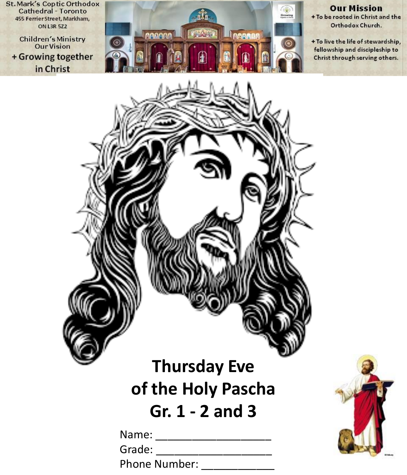**St. Mark's Coptic Orthodox Cathedral - Toronto** 455 Ferrier Street, Markham, **ON L3R 5Z2** 

**Children's Ministry Our Vision** + Growing together in Christ



#### **Our Mission** + To be rooted in Christ and the

Orthodox Church.

+ To live the life of stewardship, fellowship and discipleship to Christ through serving others.

# **Thursday Eve of the Holy Pascha Gr. 1 - 2 and 3**

Name: \_\_\_\_\_\_\_\_\_\_\_\_\_\_\_\_\_\_\_

Grade: \_\_\_\_\_\_\_\_\_\_\_\_\_\_\_\_\_\_\_

Phone Number: \_\_\_\_\_\_\_\_\_\_\_\_\_

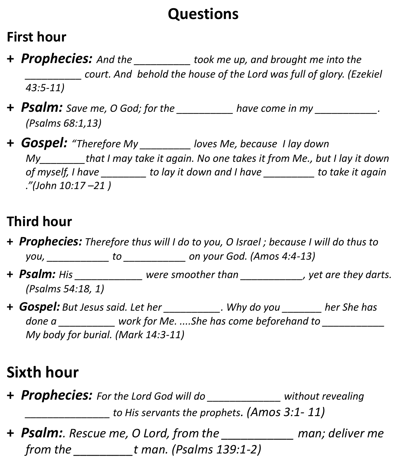# **Questions**

#### **First hour**

- **+** *Prophecies: And the \_\_\_\_\_\_\_\_\_\_ took me up, and brought me into the \_\_\_\_\_\_\_\_\_\_ court. And behold the house of the Lord was full of glory. (Ezekiel 43:5-11)*
- **+** *Psalm: Save me, O God; for the \_\_\_\_\_\_\_\_\_\_ have come in my \_\_\_\_\_\_\_\_\_\_\_. (Psalms 68:1,13)*
- **+** *Gospel: "Therefore My \_\_\_\_\_\_\_\_\_ loves Me, because I lay down My\_\_\_\_\_\_\_\_that I may take it again. No one takes it from Me., but I lay it down of myself, I have \_\_\_\_\_\_\_\_ to lay it down and I have \_\_\_\_\_\_\_\_\_ to take it again ."(John 10:17 –21 )*

### **Third hour**

- **+** *Prophecies: Therefore thus will I do to you, O Israel ; because I will do thus to you, \_\_\_\_\_\_\_\_\_\_\_ to \_\_\_\_\_\_\_\_\_\_\_ on your God. (Amos 4:4-13)*
- **+** *Psalm: His \_\_\_\_\_\_\_\_\_\_\_\_ were smoother than \_\_\_\_\_\_\_\_\_\_\_, yet are they darts. (Psalms 54:18, 1)*
- **+** *Gospel: But Jesus said. Let her \_\_\_\_\_\_\_\_\_\_. Why do you \_\_\_\_\_\_\_ her She has*  done a *work for Me. ....She has come beforehand to My body for burial. (Mark 14:3-11)*

# **Sixth hour**

- **+** *Prophecies: For the Lord God will do \_\_\_\_\_\_\_\_\_\_\_\_\_ without revealing \_\_\_\_\_\_\_\_\_\_\_\_\_\_\_ to His servants the prophets. (Amos 3:1- 11)*
- **+** *Psalm:. Rescue me, O Lord, from the \_\_\_\_\_\_\_\_\_\_\_ man; deliver me from the \_\_\_\_\_\_\_\_\_t man. (Psalms 139:1-2)*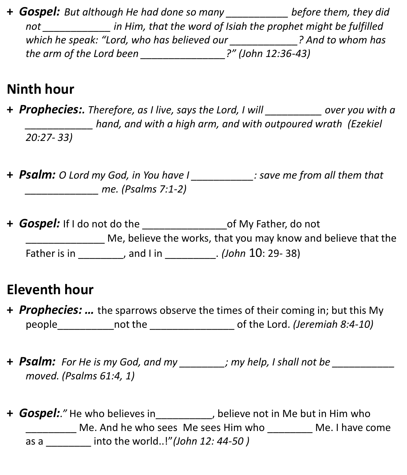**+** *Gospel:**But although He had done so many \_\_\_\_\_\_\_\_\_\_\_ before them, they did not \_\_\_\_\_\_\_\_\_\_\_\_ in Him, that the word of Isiah the prophet might be fulfilled which he speak: "Lord, who has believed our \_\_\_\_\_\_\_\_\_\_\_\_? And to whom has the arm of the Lord been \_\_\_\_\_\_\_\_\_\_\_\_\_\_\_?" (John 12:36-43)*

#### **Ninth hour**

- **+** *Prophecies:. Therefore, as I live, says the Lord, I will \_\_\_\_\_\_\_\_\_\_ over you with a \_\_\_\_\_\_\_\_\_\_\_\_ hand, and with a high arm, and with outpoured wrath (Ezekiel 20:27- 33)*
- **+** *Psalm: O Lord my God, in You have I \_\_\_\_\_\_\_\_\_\_\_: save me from all them that \_\_\_\_\_\_\_\_\_\_\_\_\_ me. (Psalms 7:1-2)*
- **+** *Gospel:* If I do not do the \_\_\_\_\_\_\_\_\_\_\_\_\_\_\_of My Father, do not Me, believe the works, that you may know and believe that the Father is in \_\_\_\_\_\_\_\_, and I in \_\_\_\_\_\_\_\_\_. *(John* 10: 29- 38)

#### **Eleventh hour**

- **+** *Prophecies: …* the sparrows observe the times of their coming in; but this My people\_\_\_\_\_\_\_\_\_\_not the \_\_\_\_\_\_\_\_\_\_\_\_\_\_\_ of the Lord*. (Jeremiah 8:4-10)*
- **+** *Psalm: For He is my God, and my \_\_\_\_\_\_\_\_; my help, I shall not be \_\_\_\_\_\_\_\_\_\_\_ moved. (Psalms 61:4, 1)*
- **+** *Gospel:."* He who believes in\_\_\_\_\_\_\_\_\_\_, believe not in Me but in Him who Me. And he who sees Me sees Him who **Me. I have come** as a \_\_\_\_\_\_\_\_ into the world..!"*(John 12: 44-50 )*